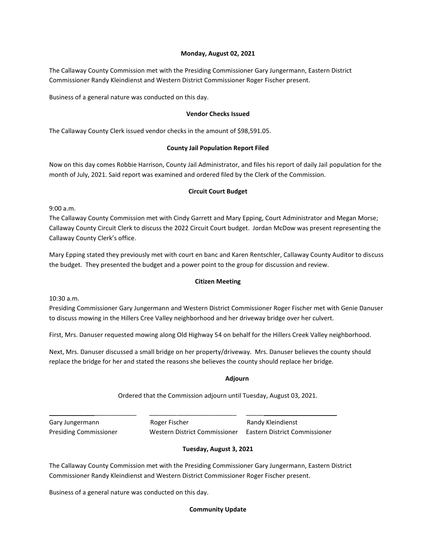### **Monday, August 02, 2021**

The Callaway County Commission met with the Presiding Commissioner Gary Jungermann, Eastern District Commissioner Randy Kleindienst and Western District Commissioner Roger Fischer present.

Business of a general nature was conducted on this day.

#### **Vendor Checks Issued**

The Callaway County Clerk issued vendor checks in the amount of \$98,591.05.

### **County Jail Population Report Filed**

Now on this day comes Robbie Harrison, County Jail Administrator, and files his report of daily Jail population for the month of July, 2021. Said report was examined and ordered filed by the Clerk of the Commission.

### **Circuit Court Budget**

9:00 a.m.

The Callaway County Commission met with Cindy Garrett and Mary Epping, Court Administrator and Megan Morse; Callaway County Circuit Clerk to discuss the 2022 Circuit Court budget. Jordan McDow was present representing the Callaway County Clerk's office.

Mary Epping stated they previously met with court en banc and Karen Rentschler, Callaway County Auditor to discuss the budget. They presented the budget and a power point to the group for discussion and review.

### **Citizen Meeting**

10:30 a.m.

Presiding Commissioner Gary Jungermann and Western District Commissioner Roger Fischer met with Genie Danuser to discuss mowing in the Hillers Cree Valley neighborhood and her driveway bridge over her culvert.

First, Mrs. Danuser requested mowing along Old Highway 54 on behalf for the Hillers Creek Valley neighborhood.

Next, Mrs. Danuser discussed a small bridge on her property/driveway. Mrs. Danuser believes the county should replace the bridge for her and stated the reasons she believes the county should replace her bridge.

## المستخدم المستخدم المستخدم المستخدم المستخدم المستخدم المستخدم المستخدم المستخدم المستخدم المستخدم المستخدم ال

Ordered that the Commission adjourn until Tuesday, August 03, 2021.

\_\_\_\_\_\_\_\_\_\_\_\_\_\_\_\_\_\_\_\_\_\_\_\_\_ \_\_\_\_\_\_\_\_\_\_\_\_\_\_\_\_\_\_\_\_\_\_\_\_\_ \_\_\_\_\_\_\_\_\_\_\_\_\_\_\_\_\_\_\_\_\_\_\_\_\_\_ Gary Jungermann **Roger Fischer** Romes Randy Kleindienst Presiding Commissioner Western District Commissioner Eastern District Commissioner

## **Tuesday, August 3, 2021**

The Callaway County Commission met with the Presiding Commissioner Gary Jungermann, Eastern District Commissioner Randy Kleindienst and Western District Commissioner Roger Fischer present.

Business of a general nature was conducted on this day.

## **Community Update**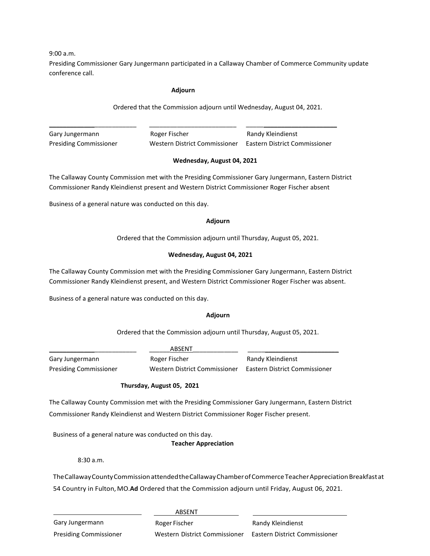9:00 a.m.

Presiding Commissioner Gary Jungermann participated in a Callaway Chamber of Commerce Community update conference call.

#### **Adjourn**

Ordered that the Commission adjourn until Wednesday, August 04, 2021.

Gary Jungermann **Roger Fischer** Randy Kleindienst Presiding Commissioner Western District Commissioner Eastern District Commissioner

\_\_\_\_\_\_\_\_\_\_\_\_\_\_\_\_\_\_\_\_\_\_\_\_\_ \_\_\_\_\_\_\_\_\_\_\_\_\_\_\_\_\_\_\_\_\_\_\_\_\_ \_\_\_\_\_\_\_\_\_\_\_\_\_\_\_\_\_\_\_\_\_\_\_\_\_\_

## **Wednesday, August 04, 2021**

The Callaway County Commission met with the Presiding Commissioner Gary Jungermann, Eastern District Commissioner Randy Kleindienst present and Western District Commissioner Roger Fischer absent

Business of a general nature was conducted on this day.

#### **Adjourn**

Ordered that the Commission adjourn until Thursday, August 05, 2021.

## **Wednesday, August 04, 2021**

The Callaway County Commission met with the Presiding Commissioner Gary Jungermann, Eastern District Commissioner Randy Kleindienst present, and Western District Commissioner Roger Fischer was absent.

Business of a general nature was conducted on this day.

## **Adjourn**

Ordered that the Commission adjourn until Thursday, August 05, 2021.

\_\_\_\_\_\_\_\_\_\_\_\_\_\_\_\_\_\_\_\_\_\_\_\_\_ \_\_\_\_\_\_ABSENT\_\_\_\_\_\_\_\_\_\_\_\_\_ \_\_\_\_\_\_\_\_\_\_\_\_\_\_\_\_\_\_\_\_\_\_\_\_\_\_ Gary Jungermann **Roger Fischer** Randy Kleindienst Presiding Commissioner Western District Commissioner Eastern District Commissioner

## **Thursday, August 05, 2021**

The Callaway County Commission met with the Presiding Commissioner Gary Jungermann, Eastern District Commissioner Randy Kleindienst and Western District Commissioner Roger Fischer present.

Business of a general nature was conducted on this day.

**Teacher Appreciation**

8:30 a.m.

The Callaway County Commission attended the Callaway Chamber of Commerce Teacher Appreciation Breakfast at 54 Country in Fulton, MO.**Ad** Ordered that the Commission adjourn until Friday, August 06, 2021.

|                               | ABSENT                        |                               |
|-------------------------------|-------------------------------|-------------------------------|
| Gary Jungermann               | Roger Fischer                 | Randy Kleindienst             |
| <b>Presiding Commissioner</b> | Western District Commissioner | Eastern District Commissioner |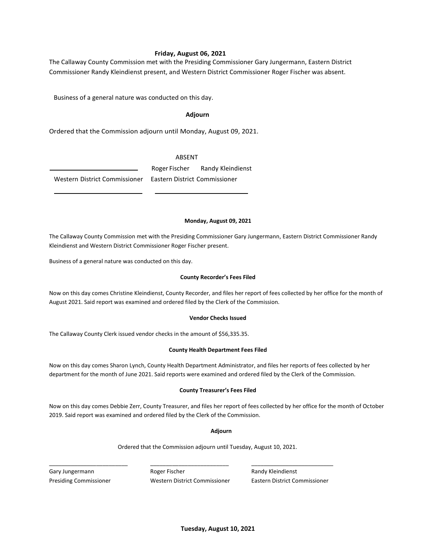### **Friday, August 06, 2021**

The Callaway County Commission met with the Presiding Commissioner Gary Jungermann, Eastern District Commissioner Randy Kleindienst present, and Western District Commissioner Roger Fischer was absent.

Business of a general nature was conducted on this day.

#### **Adjourn**

Ordered that the Commission adjourn until Monday, August 09, 2021.

#### ABSENT

Roger Fischer Randy Kleindienst Western District Commissioner Eastern District Commissioner

#### **Monday, August 09, 2021**

The Callaway County Commission met with the Presiding Commissioner Gary Jungermann, Eastern District Commissioner Randy Kleindienst and Western District Commissioner Roger Fischer present.

Business of a general nature was conducted on this day.

#### **County Recorder's Fees Filed**

Now on this day comes Christine Kleindienst, County Recorder, and files her report of fees collected by her office for the month of August 2021. Said report was examined and ordered filed by the Clerk of the Commission.

#### **Vendor Checks Issued**

The Callaway County Clerk issued vendor checks in the amount of \$56,335.35.

#### **County Health Department Fees Filed**

Now on this day comes Sharon Lynch, County Health Department Administrator, and files her reports of fees collected by her department for the month of June 2021. Said reports were examined and ordered filed by the Clerk of the Commission.

#### **County Treasurer's Fees Filed**

Now on this day comes Debbie Zerr, County Treasurer, and files her report of fees collected by her office for the month of October 2019. Said report was examined and ordered filed by the Clerk of the Commission.

#### **Adjourn**

Ordered that the Commission adjourn until Tuesday, August 10, 2021.

Gary Jungermann **Roger Fischer Randy Kleindienst** Randy Kleindienst Presiding Commissioner Western District Commissioner Eastern District Commissioner

\_\_\_\_\_\_\_\_\_\_\_\_\_\_\_\_\_\_\_\_\_\_\_\_\_ \_\_\_\_\_\_\_\_\_\_\_\_\_\_\_\_\_\_\_\_\_\_\_\_\_ \_\_\_\_\_\_\_\_\_\_\_\_\_\_\_\_\_\_\_\_\_\_\_\_\_\_

**Tuesday, August 10, 2021**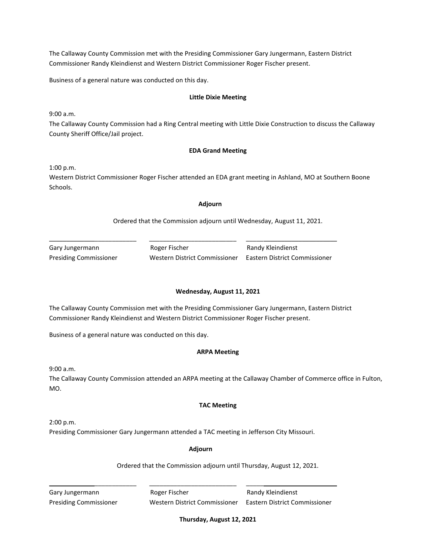Business of a general nature was conducted on this day.

#### **Little Dixie Meeting**

9:00 a.m.

The Callaway County Commission had a Ring Central meeting with Little Dixie Construction to discuss the Callaway County Sheriff Office/Jail project.

### **EDA Grand Meeting**

1:00 p.m.

Western District Commissioner Roger Fischer attended an EDA grant meeting in Ashland, MO at Southern Boone Schools.

#### **Adjourn**

Ordered that the Commission adjourn until Wednesday, August 11, 2021.

| Gary Jungermann               |
|-------------------------------|
| <b>Presiding Commissioner</b> |

Roger Fischer **Randy Kleindienst** 

\_\_\_\_\_\_\_\_\_\_\_\_\_\_\_\_\_\_\_\_\_\_\_\_\_ \_\_\_\_\_\_\_\_\_\_\_\_\_\_\_\_\_\_\_\_\_\_\_\_\_ \_\_\_\_\_\_\_\_\_\_\_\_\_\_\_\_\_\_\_\_\_\_\_\_\_\_

Presiding Commissioner Western District Commissioner Eastern District Commissioner

## **Wednesday, August 11, 2021**

The Callaway County Commission met with the Presiding Commissioner Gary Jungermann, Eastern District Commissioner Randy Kleindienst and Western District Commissioner Roger Fischer present.

Business of a general nature was conducted on this day.

#### **ARPA Meeting**

9:00 a.m.

The Callaway County Commission attended an ARPA meeting at the Callaway Chamber of Commerce office in Fulton, MO.

## **TAC Meeting**

2:00 p.m.

Presiding Commissioner Gary Jungermann attended a TAC meeting in Jefferson City Missouri.

#### **Adjourn**

\_\_\_\_\_\_\_\_\_\_\_\_\_\_\_\_\_\_\_\_\_\_\_\_\_ \_\_\_\_\_\_\_\_\_\_\_\_\_\_\_\_\_\_\_\_\_\_\_\_\_ \_\_\_\_\_\_\_\_\_\_\_\_\_\_\_\_\_\_\_\_\_\_\_\_\_\_

Ordered that the Commission adjourn until Thursday, August 12, 2021.

Gary Jungermann **Roger Fischer** Randy Kleindienst Presiding Commissioner Western District Commissioner Eastern District Commissioner

**Thursday, August 12, 2021**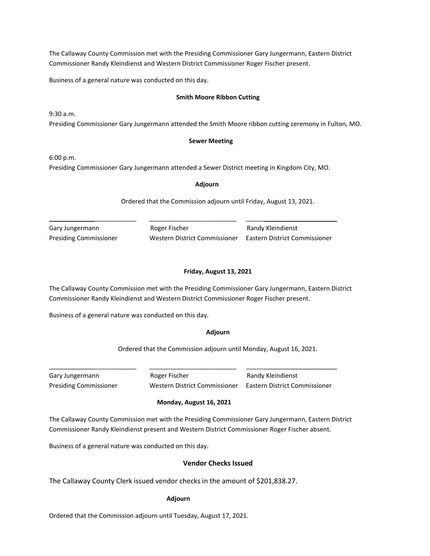Business of a general nature was conducted on this day.

### **Smith Moore Ribbon Cutting**

9:30 a.m. Presiding Commissioner Gary Jungermann attended the Smith Moore ribbon cutting ceremony in Fulton, MO.

### **Sewer Meeting**

6:00 p.m.

Presiding Commissioner Gary Jungermann attended a Sewer District meeting in Kingdom City, MO.

**Adjourn**

Ordered that the Commission adjourn until Friday, August 13, 2021.

Gary Jungermann **Roger Fischer** Randy Kleindienst

\_\_\_\_\_\_\_\_\_\_\_\_\_\_\_\_\_\_\_\_\_\_\_\_\_ \_\_\_\_\_\_\_\_\_\_\_\_\_\_\_\_\_\_\_\_\_\_\_\_\_ \_\_\_\_\_\_\_\_\_\_\_\_\_\_\_\_\_\_\_\_\_\_\_\_\_\_

Presiding Commissioner Western District Commissioner Eastern District Commissioner

### **Friday, August 13, 2021**

The Callaway County Commission met with the Presiding Commissioner Gary Jungermann, Eastern District Commissioner Randy Kleindienst and Western District Commissioner Roger Fischer present.

Business of a general nature was conducted on this day.

## **Adjourn**

Ordered that the Commission adjourn until Monday, August 16, 2021.

Gary Jungermann **Roger Fischer** Randy Kleindienst

Presiding Commissioner Western District Commissioner Eastern District Commissioner

## **Monday, August 16, 2021**

\_\_\_\_\_\_\_\_\_\_\_\_\_\_\_\_\_\_\_\_\_\_\_\_\_ \_\_\_\_\_\_\_\_\_\_\_\_\_\_\_\_\_\_\_\_\_\_\_\_\_ \_\_\_\_\_\_\_\_\_\_\_\_\_\_\_\_\_\_\_\_\_\_\_\_\_\_

The Callaway County Commission met with the Presiding Commissioner Gary Jungermann, Eastern District Commissioner Randy Kleindienst present and Western District Commissioner Roger Fischer absent.

Business of a general nature was conducted on this day.

## **Vendor Checks Issued**

The Callaway County Clerk issued vendor checks in the amount of \$201,838.27.

## **Adjourn**

Ordered that the Commission adjourn until Tuesday, August 17, 2021.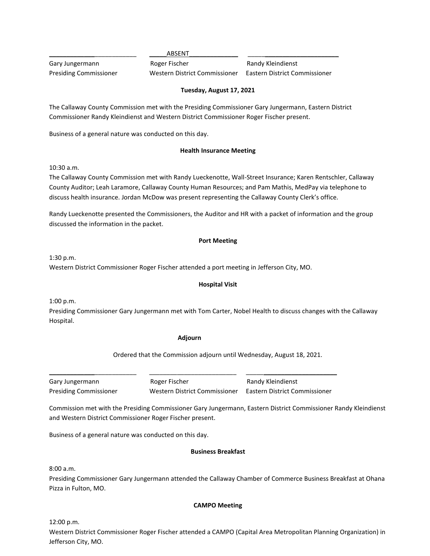\_\_\_\_\_\_\_\_\_\_\_\_\_\_\_\_\_\_\_\_\_\_\_\_\_ \_\_\_\_\_ABSENT\_\_\_\_\_\_\_\_\_\_\_\_\_\_ \_\_\_\_\_\_\_\_\_\_\_\_\_\_\_\_\_\_\_\_\_\_\_\_\_\_

Gary Jungermann **Roger Fischer** Randy Kleindienst

Presiding Commissioner Western District Commissioner Eastern District Commissioner

# **Tuesday, August 17, 2021**

The Callaway County Commission met with the Presiding Commissioner Gary Jungermann, Eastern District Commissioner Randy Kleindienst and Western District Commissioner Roger Fischer present.

Business of a general nature was conducted on this day.

## **Health Insurance Meeting**

10:30 a.m.

The Callaway County Commission met with Randy Lueckenotte, Wall-Street Insurance; Karen Rentschler, Callaway County Auditor; Leah Laramore, Callaway County Human Resources; and Pam Mathis, MedPay via telephone to discuss health insurance. Jordan McDow was present representing the Callaway County Clerk's office.

Randy Lueckenotte presented the Commissioners, the Auditor and HR with a packet of information and the group discussed the information in the packet.

## **Port Meeting**

1:30 p.m.

Western District Commissioner Roger Fischer attended a port meeting in Jefferson City, MO.

## **Hospital Visit**

1:00 p.m.

Presiding Commissioner Gary Jungermann met with Tom Carter, Nobel Health to discuss changes with the Callaway Hospital.

## **Adjourn**

\_\_\_\_\_\_\_\_\_\_\_\_\_\_\_\_\_\_\_\_\_\_\_\_\_ \_\_\_\_\_\_\_\_\_\_\_\_\_\_\_\_\_\_\_\_\_\_\_\_\_ \_\_\_\_\_\_\_\_\_\_\_\_\_\_\_\_\_\_\_\_\_\_\_\_\_\_

Ordered that the Commission adjourn until Wednesday, August 18, 2021.

Gary Jungermann **Roger Fischer** Romes Randy Kleindienst

Presiding Commissioner Western District Commissioner Eastern District Commissioner

Commission met with the Presiding Commissioner Gary Jungermann, Eastern District Commissioner Randy Kleindienst and Western District Commissioner Roger Fischer present.

Business of a general nature was conducted on this day.

## **Business Breakfast**

8:00 a.m.

Presiding Commissioner Gary Jungermann attended the Callaway Chamber of Commerce Business Breakfast at Ohana Pizza in Fulton, MO.

## **CAMPO Meeting**

12:00 p.m.

Western District Commissioner Roger Fischer attended a CAMPO (Capital Area Metropolitan Planning Organization) in Jefferson City, MO.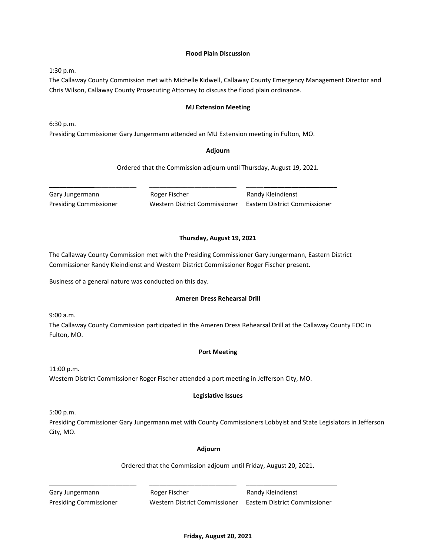### **Flood Plain Discussion**

1:30 p.m.

The Callaway County Commission met with Michelle Kidwell, Callaway County Emergency Management Director and Chris Wilson, Callaway County Prosecuting Attorney to discuss the flood plain ordinance.

#### **MJ Extension Meeting**

6:30 p.m. Presiding Commissioner Gary Jungermann attended an MU Extension meeting in Fulton, MO.

### **Adjourn**

Ordered that the Commission adjourn until Thursday, August 19, 2021.

Gary Jungermann **Roger Fischer Randy Kleindienst** Gary Jungermann

\_\_\_\_\_\_\_\_\_\_\_\_\_\_\_\_\_\_\_\_\_\_\_\_\_ \_\_\_\_\_\_\_\_\_\_\_\_\_\_\_\_\_\_\_\_\_\_\_\_\_ \_\_\_\_\_\_\_\_\_\_\_\_\_\_\_\_\_\_\_\_\_\_\_\_\_\_

Presiding Commissioner Western District Commissioner Eastern District Commissioner

## **Thursday, August 19, 2021**

The Callaway County Commission met with the Presiding Commissioner Gary Jungermann, Eastern District Commissioner Randy Kleindienst and Western District Commissioner Roger Fischer present.

Business of a general nature was conducted on this day.

#### **Ameren Dress Rehearsal Drill**

9:00 a.m.

The Callaway County Commission participated in the Ameren Dress Rehearsal Drill at the Callaway County EOC in Fulton, MO.

#### **Port Meeting**

11:00 p.m. Western District Commissioner Roger Fischer attended a port meeting in Jefferson City, MO.

#### **Legislative Issues**

5:00 p.m.

Presiding Commissioner Gary Jungermann met with County Commissioners Lobbyist and State Legislators in Jefferson City, MO.

#### **Adjourn**

Ordered that the Commission adjourn until Friday, August 20, 2021.

Gary Jungermann **Roger Fischer** Romes Randy Kleindienst

\_\_\_\_\_\_\_\_\_\_\_\_\_\_\_\_\_\_\_\_\_\_\_\_\_ \_\_\_\_\_\_\_\_\_\_\_\_\_\_\_\_\_\_\_\_\_\_\_\_\_ \_\_\_\_\_\_\_\_\_\_\_\_\_\_\_\_\_\_\_\_\_\_\_\_\_\_

Presiding Commissioner Western District Commissioner Eastern District Commissioner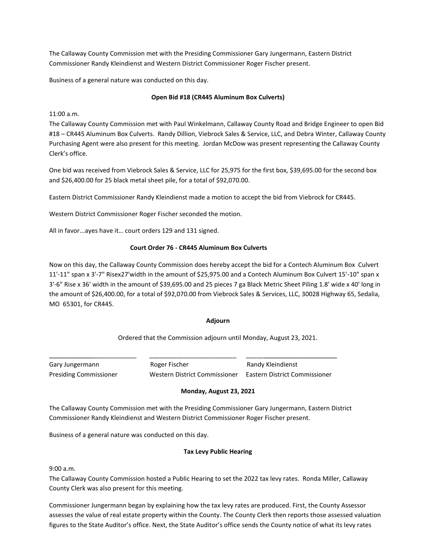Business of a general nature was conducted on this day.

## **Open Bid #18 (CR445 Aluminum Box Culverts)**

11:00 a.m.

The Callaway County Commission met with Paul Winkelmann, Callaway County Road and Bridge Engineer to open Bid #18 – CR445 Aluminum Box Culverts. Randy Dillion, Viebrock Sales & Service, LLC, and Debra Winter, Callaway County Purchasing Agent were also present for this meeting. Jordan McDow was present representing the Callaway County Clerk's office.

One bid was received from Viebrock Sales & Service, LLC for 25,975 for the first box, \$39,695.00 for the second box and \$26,400.00 for 25 black metal sheet pile, for a total of \$92,070.00.

Eastern District Commissioner Randy Kleindienst made a motion to accept the bid from Viebrock for CR445.

Western District Commissioner Roger Fischer seconded the motion.

All in favor...ayes have it… court orders 129 and 131 signed.

## **Court Order 76 - CR445 Aluminum Box Culverts**

Now on this day, the Callaway County Commission does hereby accept the bid for a Contech Aluminum Box Culvert 11'-11" span x 3'-7" Risex27'width in the amount of \$25,975.00 and a Contech Aluminum Box Culvert 15'-10" span x 3'-6" Rise x 36' width in the amount of \$39,695.00 and 25 pieces 7 ga Black Metric Sheet Piling 1.8' wide x 40' long in the amount of \$26,400.00, for a total of \$92,070.00 from Viebrock Sales & Services, LLC, 30028 Highway 65, Sedalia, MO 65301, for CR445.

## **Adjourn**

Ordered that the Commission adjourn until Monday, August 23, 2021.

Gary Jungermann **Roger Fischer** Romes Randy Kleindienst Presiding Commissioner Western District Commissioner Eastern District Commissioner

## **Monday, August 23, 2021**

The Callaway County Commission met with the Presiding Commissioner Gary Jungermann, Eastern District Commissioner Randy Kleindienst and Western District Commissioner Roger Fischer present.

\_\_\_\_\_\_\_\_\_\_\_\_\_\_\_\_\_\_\_\_\_\_\_\_\_ \_\_\_\_\_\_\_\_\_\_\_\_\_\_\_\_\_\_\_\_\_\_\_\_\_ \_\_\_\_\_\_\_\_\_\_\_\_\_\_\_\_\_\_\_\_\_\_\_\_\_\_

Business of a general nature was conducted on this day.

## **Tax Levy Public Hearing**

9:00 a.m.

The Callaway County Commission hosted a Public Hearing to set the 2022 tax levy rates. Ronda Miller, Callaway County Clerk was also present for this meeting.

Commissioner Jungermann began by explaining how the tax levy rates are produced. First, the County Assessor assesses the value of real estate property within the County. The County Clerk then reports those assessed valuation figures to the State Auditor's office. Next, the State Auditor's office sends the County notice of what its levy rates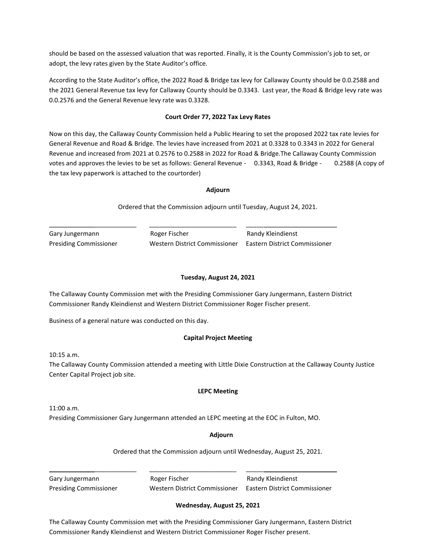should be based on the assessed valuation that was reported. Finally, it is the County Commission's job to set, or adopt, the levy rates given by the State Auditor's office.

According to the State Auditor's office, the 2022 Road & Bridge tax levy for Callaway County should be 0.0.2588 and the 2021 General Revenue tax levy for Callaway County should be 0.3343. Last year, the Road & Bridge levy rate was 0.0.2576 and the General Revenue levy rate was 0.3328.

## **Court Order 77, 2022 Tax Levy Rates**

Now on this day, the Callaway County Commission held a Public Hearing to set the proposed 2022 tax rate levies for General Revenue and Road & Bridge. The levies have increased from 2021 at 0.3328 to 0.3343 in 2022 for General Revenue and increased from 2021 at 0.2576 to 0.2588 in 2022 for Road & Bridge.The Callaway County Commission votes and approves the levies to be set as follows: General Revenue - 0.3343, Road & Bridge - 0.2588 (A copy of the tax levy paperwork is attached to the courtorder)

## **Adjourn**

Ordered that the Commission adjourn until Tuesday, August 24, 2021.

Gary Jungermann **Roger Fischer** Randy Kleindienst Presiding Commissioner Western District Commissioner Eastern District Commissioner

# **Tuesday, August 24, 2021**

The Callaway County Commission met with the Presiding Commissioner Gary Jungermann, Eastern District Commissioner Randy Kleindienst and Western District Commissioner Roger Fischer present.

\_\_\_\_\_\_\_\_\_\_\_\_\_\_\_\_\_\_\_\_\_\_\_\_\_ \_\_\_\_\_\_\_\_\_\_\_\_\_\_\_\_\_\_\_\_\_\_\_\_\_ \_\_\_\_\_\_\_\_\_\_\_\_\_\_\_\_\_\_\_\_\_\_\_\_\_\_

Business of a general nature was conducted on this day.

# **Capital Project Meeting**

10:15 a.m.

The Callaway County Commission attended a meeting with Little Dixie Construction at the Callaway County Justice Center Capital Project job site.

## **LEPC Meeting**

11:00 a.m.

Presiding Commissioner Gary Jungermann attended an LEPC meeting at the EOC in Fulton, MO.

## **Adjourn**

Ordered that the Commission adjourn until Wednesday, August 25, 2021.

Gary Jungermann **Roger Fischer** Roger Fischer Randy Kleindienst Presiding Commissioner Western District Commissioner Eastern District Commissioner

\_\_\_\_\_\_\_\_\_\_\_\_\_\_\_\_\_\_\_\_\_\_\_\_\_ \_\_\_\_\_\_\_\_\_\_\_\_\_\_\_\_\_\_\_\_\_\_\_\_\_ \_\_\_\_\_\_\_\_\_\_\_\_\_\_\_\_\_\_\_\_\_\_\_\_\_\_

## **Wednesday, August 25, 2021**

The Callaway County Commission met with the Presiding Commissioner Gary Jungermann, Eastern District Commissioner Randy Kleindienst and Western District Commissioner Roger Fischer present.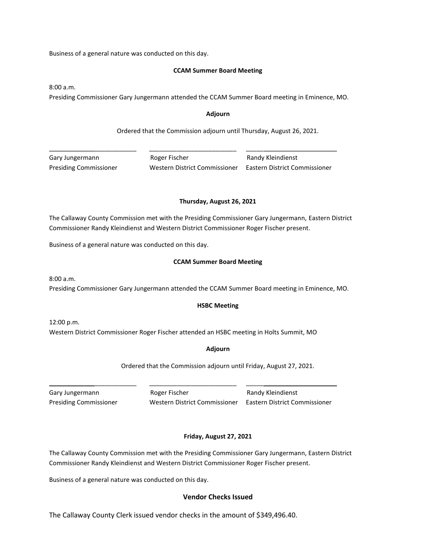Business of a general nature was conducted on this day.

### **CCAM Summer Board Meeting**

8:00 a.m.

Presiding Commissioner Gary Jungermann attended the CCAM Summer Board meeting in Eminence, MO.

### **Adjourn**

Ordered that the Commission adjourn until Thursday, August 26, 2021.

Gary Jungermann **Roger Fischer** Randy Kleindienst Presiding Commissioner Western District Commissioner Eastern District Commissioner

\_\_\_\_\_\_\_\_\_\_\_\_\_\_\_\_\_\_\_\_\_\_\_\_\_ \_\_\_\_\_\_\_\_\_\_\_\_\_\_\_\_\_\_\_\_\_\_\_\_\_ \_\_\_\_\_\_\_\_\_\_\_\_\_\_\_\_\_\_\_\_\_\_\_\_\_\_

## **Thursday, August 26, 2021**

The Callaway County Commission met with the Presiding Commissioner Gary Jungermann, Eastern District Commissioner Randy Kleindienst and Western District Commissioner Roger Fischer present.

Business of a general nature was conducted on this day.

### **CCAM Summer Board Meeting**

8:00 a.m. Presiding Commissioner Gary Jungermann attended the CCAM Summer Board meeting in Eminence, MO.

## **HSBC Meeting**

12:00 p.m. Western District Commissioner Roger Fischer attended an HSBC meeting in Holts Summit, MO

## **Adjourn**

Ordered that the Commission adjourn until Friday, August 27, 2021.

\_\_\_\_\_\_\_\_\_\_\_\_\_\_\_\_\_\_\_\_\_\_\_\_\_ \_\_\_\_\_\_\_\_\_\_\_\_\_\_\_\_\_\_\_\_\_\_\_\_\_ \_\_\_\_\_\_\_\_\_\_\_\_\_\_\_\_\_\_\_\_\_\_\_\_\_\_ Gary Jungermann **Roger Fischer** Randy Kleindienst

Presiding Commissioner Western District Commissioner Eastern District Commissioner

## **Friday, August 27, 2021**

The Callaway County Commission met with the Presiding Commissioner Gary Jungermann, Eastern District Commissioner Randy Kleindienst and Western District Commissioner Roger Fischer present.

Business of a general nature was conducted on this day.

# **Vendor Checks Issued**

The Callaway County Clerk issued vendor checks in the amount of \$349,496.40.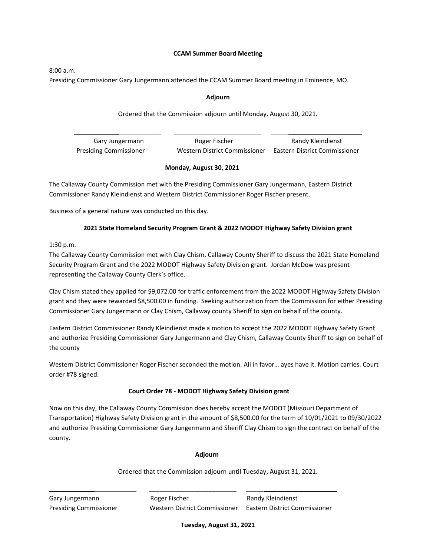### **CCAM Summer Board Meeting**

8:00 a.m.

Presiding Commissioner Gary Jungermann attended the CCAM Summer Board meeting in Eminence, MO.

## **Adjourn**

# Ordered that the Commission adjourn until Monday, August 30, 2021.

| Gary Jungermann               | Roger Fischer                 | Randy Kleindienst             |
|-------------------------------|-------------------------------|-------------------------------|
| <b>Presiding Commissioner</b> | Western District Commissioner | Eastern District Commissioner |

## **Monday, August 30, 2021**

The Callaway County Commission met with the Presiding Commissioner Gary Jungermann, Eastern District Commissioner Randy Kleindienst and Western District Commissioner Roger Fischer present.

Business of a general nature was conducted on this day.

# **2021 State Homeland Security Program Grant & 2022 MODOT Highway Safety Division grant**

# 1:30 p.m.

The Callaway County Commission met with Clay Chism, Callaway County Sheriff to discuss the 2021 State Homeland Security Program Grant and the 2022 MODOT Highway Safety Division grant. Jordan McDow was present representing the Callaway County Clerk's office.

Clay Chism stated they applied for \$9,072.00 for traffic enforcement from the 2022 MODOT Highway Safety Division grant and they were rewarded \$8,500.00 in funding. Seeking authorization from the Commission for either Presiding Commissioner Gary Jungermann or Clay Chism, Callaway county Sheriff to sign on behalf of the county.

Eastern District Commissioner Randy Kleindienst made a motion to accept the 2022 MODOT Highway Safety Grant and authorize Presiding Commissioner Gary Jungermann and Clay Chism, Callaway County Sheriff to sign on behalf of the county

Western District Commissioner Roger Fischer seconded the motion. All in favor… ayes have it. Motion carries. Court order #78 signed.

## **Court Order 78 - MODOT Highway Safety Division grant**

Now on this day, the Callaway County Commission does hereby accept the MODOT (Missouri Department of Transportation) Highway Safety Division grant in the amount of \$8,500.00 for the term of 10/01/2021 to 09/30/2022 and authorize Presiding Commissioner Gary Jungermann and Sheriff Clay Chism to sign the contract on behalf of the county.

## **Adjourn**

\_\_\_\_\_\_\_\_\_\_\_\_\_\_\_\_\_\_\_\_\_\_\_\_\_ \_\_\_\_\_\_\_\_\_\_\_\_\_\_\_\_\_\_\_\_\_\_\_\_\_ \_\_\_\_\_\_\_\_\_\_\_\_\_\_\_\_\_\_\_\_\_\_\_\_\_\_

Ordered that the Commission adjourn until Tuesday, August 31, 2021.

Gary Jungermann **Roger Fischer** Randy Kleindienst Presiding Commissioner Western District Commissioner Eastern District Commissioner

**Tuesday, August 31, 2021**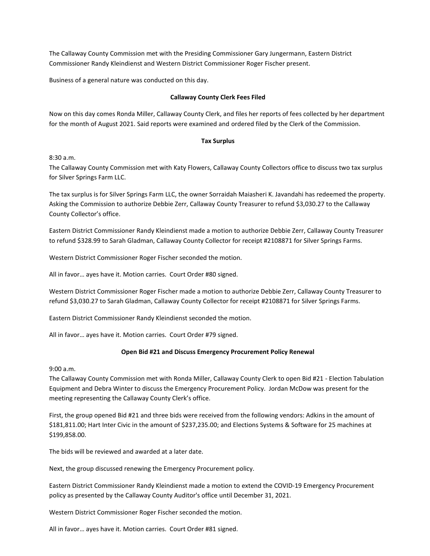Business of a general nature was conducted on this day.

### **Callaway County Clerk Fees Filed**

Now on this day comes Ronda Miller, Callaway County Clerk, and files her reports of fees collected by her department for the month of August 2021. Said reports were examined and ordered filed by the Clerk of the Commission.

### **Tax Surplus**

8:30 a.m.

The Callaway County Commission met with Katy Flowers, Callaway County Collectors office to discuss two tax surplus for Silver Springs Farm LLC.

The tax surplus is for Silver Springs Farm LLC, the owner Sorraidah Maiasheri K. Javandahi has redeemed the property. Asking the Commission to authorize Debbie Zerr, Callaway County Treasurer to refund \$3,030.27 to the Callaway County Collector's office.

Eastern District Commissioner Randy Kleindienst made a motion to authorize Debbie Zerr, Callaway County Treasurer to refund \$328.99 to Sarah Gladman, Callaway County Collector for receipt #2108871 for Silver Springs Farms.

Western District Commissioner Roger Fischer seconded the motion.

All in favor… ayes have it. Motion carries. Court Order #80 signed.

Western District Commissioner Roger Fischer made a motion to authorize Debbie Zerr, Callaway County Treasurer to refund \$3,030.27 to Sarah Gladman, Callaway County Collector for receipt #2108871 for Silver Springs Farms.

Eastern District Commissioner Randy Kleindienst seconded the motion.

All in favor… ayes have it. Motion carries. Court Order #79 signed.

## **Open Bid #21 and Discuss Emergency Procurement Policy Renewal**

9:00 a.m.

The Callaway County Commission met with Ronda Miller, Callaway County Clerk to open Bid #21 - Election Tabulation Equipment and Debra Winter to discuss the Emergency Procurement Policy. Jordan McDow was present for the meeting representing the Callaway County Clerk's office.

First, the group opened Bid #21 and three bids were received from the following vendors: Adkins in the amount of \$181,811.00; Hart Inter Civic in the amount of \$237,235.00; and Elections Systems & Software for 25 machines at \$199,858.00.

The bids will be reviewed and awarded at a later date.

Next, the group discussed renewing the Emergency Procurement policy.

Eastern District Commissioner Randy Kleindienst made a motion to extend the COVID-19 Emergency Procurement policy as presented by the Callaway County Auditor's office until December 31, 2021.

Western District Commissioner Roger Fischer seconded the motion.

All in favor… ayes have it. Motion carries. Court Order #81 signed.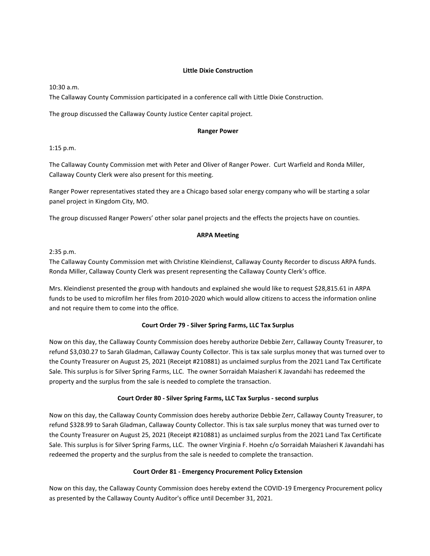### **Little Dixie Construction**

10:30 a.m.

The Callaway County Commission participated in a conference call with Little Dixie Construction.

The group discussed the Callaway County Justice Center capital project.

#### **Ranger Power**

1:15 p.m.

The Callaway County Commission met with Peter and Oliver of Ranger Power. Curt Warfield and Ronda Miller, Callaway County Clerk were also present for this meeting.

Ranger Power representatives stated they are a Chicago based solar energy company who will be starting a solar panel project in Kingdom City, MO.

The group discussed Ranger Powers' other solar panel projects and the effects the projects have on counties.

### **ARPA Meeting**

2:35 p.m.

The Callaway County Commission met with Christine Kleindienst, Callaway County Recorder to discuss ARPA funds. Ronda Miller, Callaway County Clerk was present representing the Callaway County Clerk's office.

Mrs. Kleindienst presented the group with handouts and explained she would like to request \$28,815.61 in ARPA funds to be used to microfilm her files from 2010-2020 which would allow citizens to access the information online and not require them to come into the office.

## **Court Order 79 - Silver Spring Farms, LLC Tax Surplus**

Now on this day, the Callaway County Commission does hereby authorize Debbie Zerr, Callaway County Treasurer, to refund \$3,030.27 to Sarah Gladman, Callaway County Collector. This is tax sale surplus money that was turned over to the County Treasurer on August 25, 2021 (Receipt #210881) as unclaimed surplus from the 2021 Land Tax Certificate Sale. This surplus is for Silver Spring Farms, LLC. The owner Sorraidah Maiasheri K Javandahi has redeemed the property and the surplus from the sale is needed to complete the transaction.

## **Court Order 80 - Silver Spring Farms, LLC Tax Surplus - second surplus**

Now on this day, the Callaway County Commission does hereby authorize Debbie Zerr, Callaway County Treasurer, to refund \$328.99 to Sarah Gladman, Callaway County Collector. This is tax sale surplus money that was turned over to the County Treasurer on August 25, 2021 (Receipt #210881) as unclaimed surplus from the 2021 Land Tax Certificate Sale. This surplus is for Silver Spring Farms, LLC. The owner Virginia F. Hoehn c/o Sorraidah Maiasheri K Javandahi has redeemed the property and the surplus from the sale is needed to complete the transaction.

## **Court Order 81 - Emergency Procurement Policy Extension**

Now on this day, the Callaway County Commission does hereby extend the COVID-19 Emergency Procurement policy as presented by the Callaway County Auditor's office until December 31, 2021.